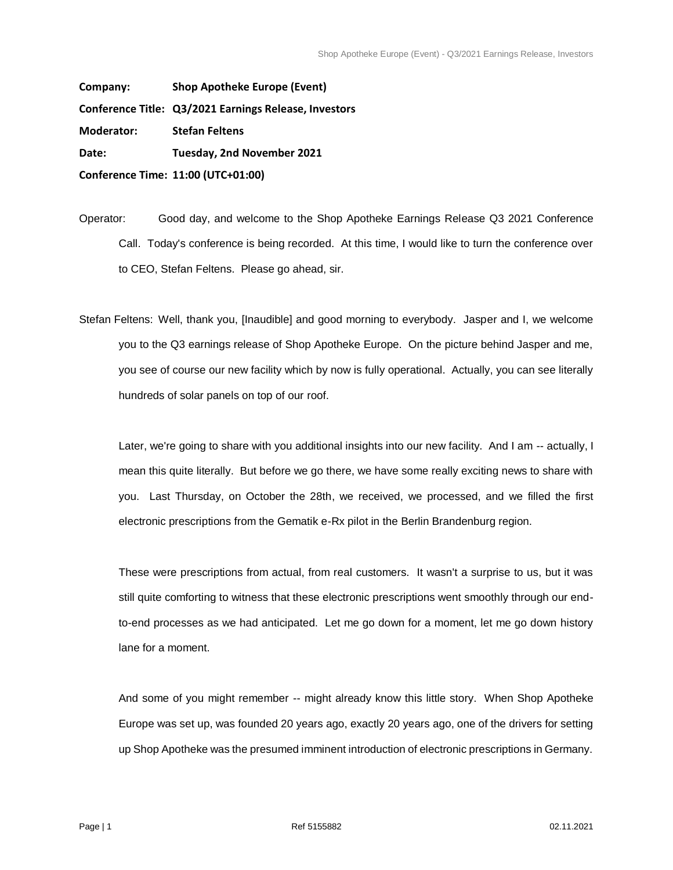**Company: Shop Apotheke Europe (Event) Conference Title: Q3/2021 Earnings Release, Investors Moderator: Stefan Feltens Date: Tuesday, 2nd November 2021 Conference Time: 11:00 (UTC+01:00)** 

Operator: Good day, and welcome to the Shop Apotheke Earnings Release Q3 2021 Conference Call. Today's conference is being recorded. At this time, I would like to turn the conference over to CEO, Stefan Feltens. Please go ahead, sir.

Stefan Feltens: Well, thank you, [Inaudible] and good morning to everybody. Jasper and I, we welcome you to the Q3 earnings release of Shop Apotheke Europe. On the picture behind Jasper and me, you see of course our new facility which by now is fully operational. Actually, you can see literally hundreds of solar panels on top of our roof.

Later, we're going to share with you additional insights into our new facility. And I am -- actually, I mean this quite literally. But before we go there, we have some really exciting news to share with you. Last Thursday, on October the 28th, we received, we processed, and we filled the first electronic prescriptions from the Gematik e-Rx pilot in the Berlin Brandenburg region.

These were prescriptions from actual, from real customers. It wasn't a surprise to us, but it was still quite comforting to witness that these electronic prescriptions went smoothly through our endto-end processes as we had anticipated. Let me go down for a moment, let me go down history lane for a moment.

And some of you might remember -- might already know this little story. When Shop Apotheke Europe was set up, was founded 20 years ago, exactly 20 years ago, one of the drivers for setting up Shop Apotheke was the presumed imminent introduction of electronic prescriptions in Germany.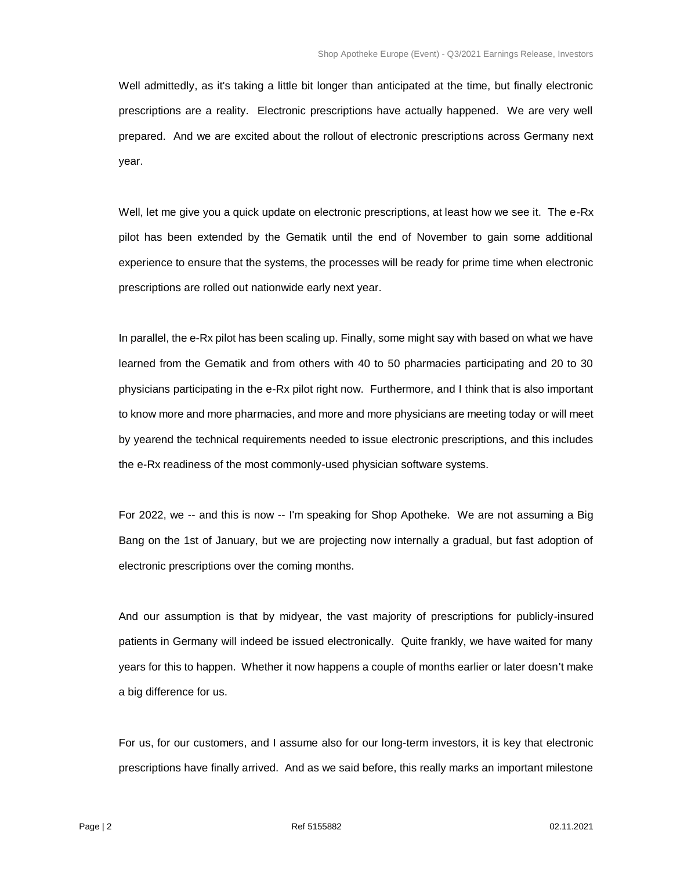Well admittedly, as it's taking a little bit longer than anticipated at the time, but finally electronic prescriptions are a reality. Electronic prescriptions have actually happened. We are very well prepared. And we are excited about the rollout of electronic prescriptions across Germany next year.

Well, let me give you a quick update on electronic prescriptions, at least how we see it. The e-Rx pilot has been extended by the Gematik until the end of November to gain some additional experience to ensure that the systems, the processes will be ready for prime time when electronic prescriptions are rolled out nationwide early next year.

In parallel, the e-Rx pilot has been scaling up. Finally, some might say with based on what we have learned from the Gematik and from others with 40 to 50 pharmacies participating and 20 to 30 physicians participating in the e-Rx pilot right now. Furthermore, and I think that is also important to know more and more pharmacies, and more and more physicians are meeting today or will meet by yearend the technical requirements needed to issue electronic prescriptions, and this includes the e-Rx readiness of the most commonly-used physician software systems.

For 2022, we -- and this is now -- I'm speaking for Shop Apotheke. We are not assuming a Big Bang on the 1st of January, but we are projecting now internally a gradual, but fast adoption of electronic prescriptions over the coming months.

And our assumption is that by midyear, the vast majority of prescriptions for publicly-insured patients in Germany will indeed be issued electronically. Quite frankly, we have waited for many years for this to happen. Whether it now happens a couple of months earlier or later doesn't make a big difference for us.

For us, for our customers, and I assume also for our long-term investors, it is key that electronic prescriptions have finally arrived. And as we said before, this really marks an important milestone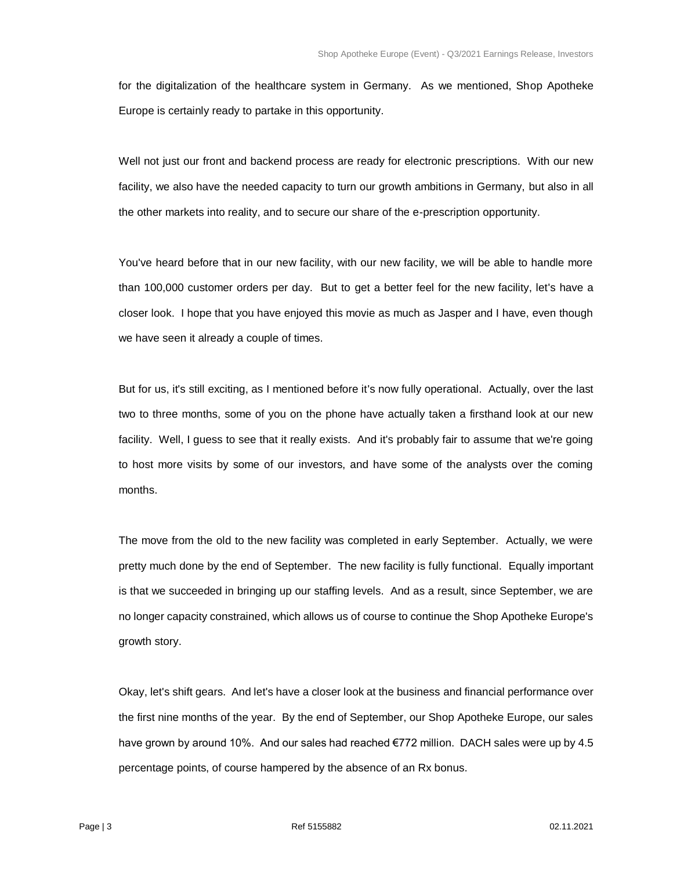for the digitalization of the healthcare system in Germany. As we mentioned, Shop Apotheke Europe is certainly ready to partake in this opportunity.

Well not just our front and backend process are ready for electronic prescriptions. With our new facility, we also have the needed capacity to turn our growth ambitions in Germany, but also in all the other markets into reality, and to secure our share of the e-prescription opportunity.

You've heard before that in our new facility, with our new facility, we will be able to handle more than 100,000 customer orders per day. But to get a better feel for the new facility, let's have a closer look. I hope that you have enjoyed this movie as much as Jasper and I have, even though we have seen it already a couple of times.

But for us, it's still exciting, as I mentioned before it's now fully operational. Actually, over the last two to three months, some of you on the phone have actually taken a firsthand look at our new facility. Well, I guess to see that it really exists. And it's probably fair to assume that we're going to host more visits by some of our investors, and have some of the analysts over the coming months.

The move from the old to the new facility was completed in early September. Actually, we were pretty much done by the end of September. The new facility is fully functional. Equally important is that we succeeded in bringing up our staffing levels. And as a result, since September, we are no longer capacity constrained, which allows us of course to continue the Shop Apotheke Europe's growth story.

Okay, let's shift gears. And let's have a closer look at the business and financial performance over the first nine months of the year. By the end of September, our Shop Apotheke Europe, our sales have grown by around 10%. And our sales had reached €772 million. DACH sales were up by 4.5 percentage points, of course hampered by the absence of an Rx bonus.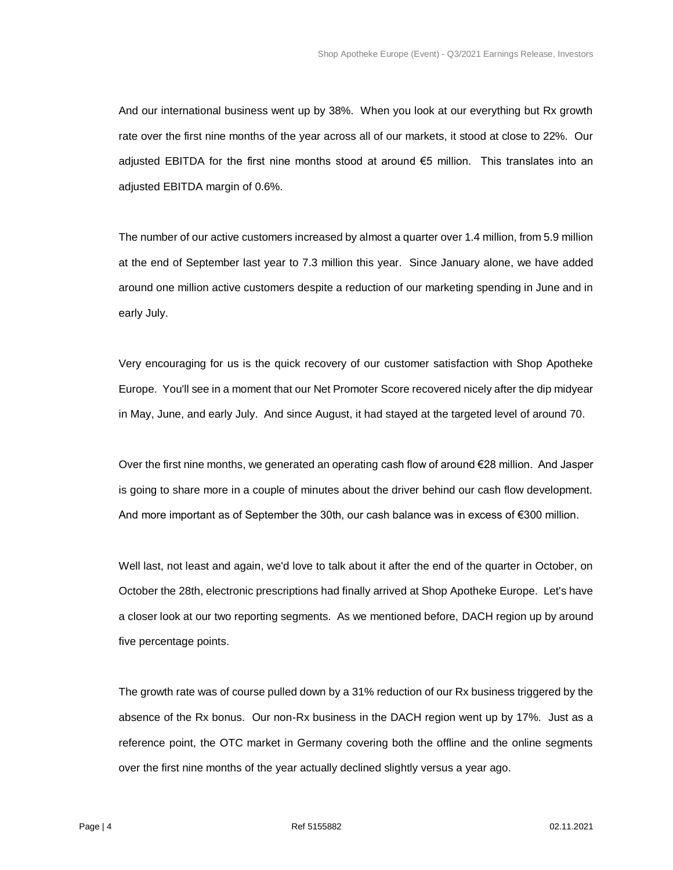And our international business went up by 38%. When you look at our everything but Rx growth rate over the first nine months of the year across all of our markets, it stood at close to 22%. Our adjusted EBITDA for the first nine months stood at around €5 million. This translates into an adjusted EBITDA margin of 0.6%.

The number of our active customers increased by almost a quarter over 1.4 million, from 5.9 million at the end of September last year to 7.3 million this year. Since January alone, we have added around one million active customers despite a reduction of our marketing spending in June and in early July.

Very encouraging for us is the quick recovery of our customer satisfaction with Shop Apotheke Europe. You'll see in a moment that our Net Promoter Score recovered nicely after the dip midyear in May, June, and early July. And since August, it had stayed at the targeted level of around 70.

Over the first nine months, we generated an operating cash flow of around €28 million. And Jasper is going to share more in a couple of minutes about the driver behind our cash flow development. And more important as of September the 30th, our cash balance was in excess of €300 million.

Well last, not least and again, we'd love to talk about it after the end of the quarter in October, on October the 28th, electronic prescriptions had finally arrived at Shop Apotheke Europe. Let's have a closer look at our two reporting segments. As we mentioned before, DACH region up by around five percentage points.

The growth rate was of course pulled down by a 31% reduction of our Rx business triggered by the absence of the Rx bonus. Our non-Rx business in the DACH region went up by 17%. Just as a reference point, the OTC market in Germany covering both the offline and the online segments over the first nine months of the year actually declined slightly versus a year ago.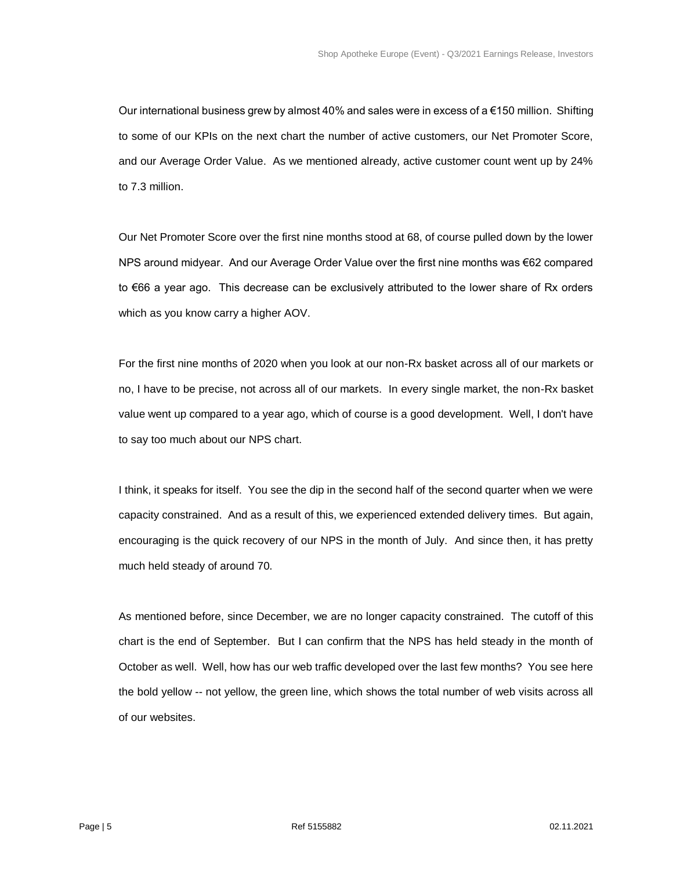Our international business grew by almost 40% and sales were in excess of a  $\epsilon$ 150 million. Shifting to some of our KPIs on the next chart the number of active customers, our Net Promoter Score, and our Average Order Value. As we mentioned already, active customer count went up by 24% to 7.3 million.

Our Net Promoter Score over the first nine months stood at 68, of course pulled down by the lower NPS around midyear. And our Average Order Value over the first nine months was €62 compared to €66 a year ago. This decrease can be exclusively attributed to the lower share of Rx orders which as you know carry a higher AOV.

For the first nine months of 2020 when you look at our non-Rx basket across all of our markets or no, I have to be precise, not across all of our markets. In every single market, the non-Rx basket value went up compared to a year ago, which of course is a good development. Well, I don't have to say too much about our NPS chart.

I think, it speaks for itself. You see the dip in the second half of the second quarter when we were capacity constrained. And as a result of this, we experienced extended delivery times. But again, encouraging is the quick recovery of our NPS in the month of July. And since then, it has pretty much held steady of around 70.

As mentioned before, since December, we are no longer capacity constrained. The cutoff of this chart is the end of September. But I can confirm that the NPS has held steady in the month of October as well. Well, how has our web traffic developed over the last few months? You see here the bold yellow -- not yellow, the green line, which shows the total number of web visits across all of our websites.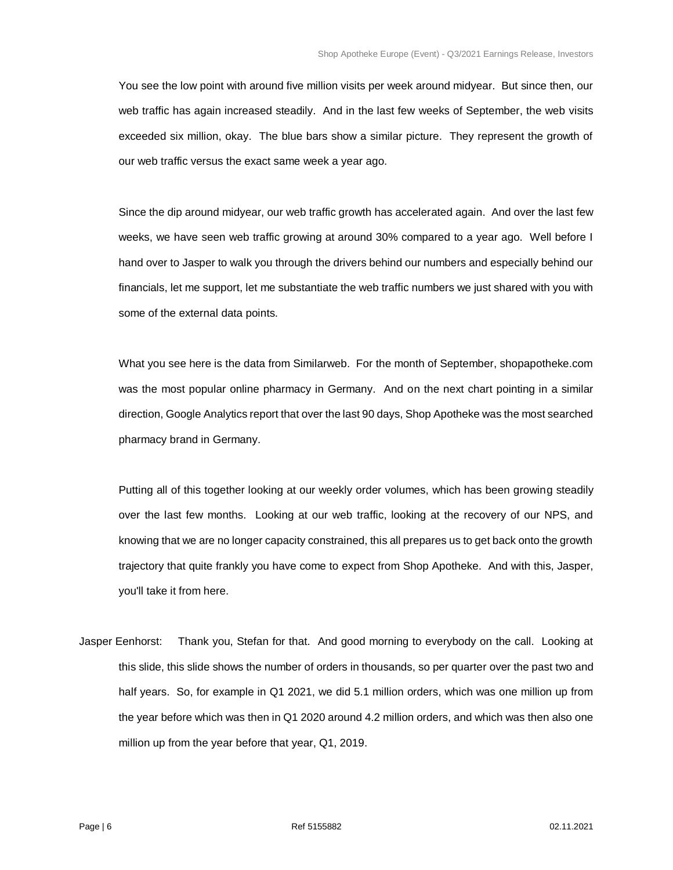You see the low point with around five million visits per week around midyear. But since then, our web traffic has again increased steadily. And in the last few weeks of September, the web visits exceeded six million, okay. The blue bars show a similar picture. They represent the growth of our web traffic versus the exact same week a year ago.

Since the dip around midyear, our web traffic growth has accelerated again. And over the last few weeks, we have seen web traffic growing at around 30% compared to a year ago. Well before I hand over to Jasper to walk you through the drivers behind our numbers and especially behind our financials, let me support, let me substantiate the web traffic numbers we just shared with you with some of the external data points.

What you see here is the data from Similarweb. For the month of September, shopapotheke.com was the most popular online pharmacy in Germany. And on the next chart pointing in a similar direction, Google Analytics report that over the last 90 days, Shop Apotheke was the most searched pharmacy brand in Germany.

Putting all of this together looking at our weekly order volumes, which has been growing steadily over the last few months. Looking at our web traffic, looking at the recovery of our NPS, and knowing that we are no longer capacity constrained, this all prepares us to get back onto the growth trajectory that quite frankly you have come to expect from Shop Apotheke. And with this, Jasper, you'll take it from here.

Jasper Eenhorst: Thank you, Stefan for that. And good morning to everybody on the call. Looking at this slide, this slide shows the number of orders in thousands, so per quarter over the past two and half years. So, for example in Q1 2021, we did 5.1 million orders, which was one million up from the year before which was then in Q1 2020 around 4.2 million orders, and which was then also one million up from the year before that year, Q1, 2019.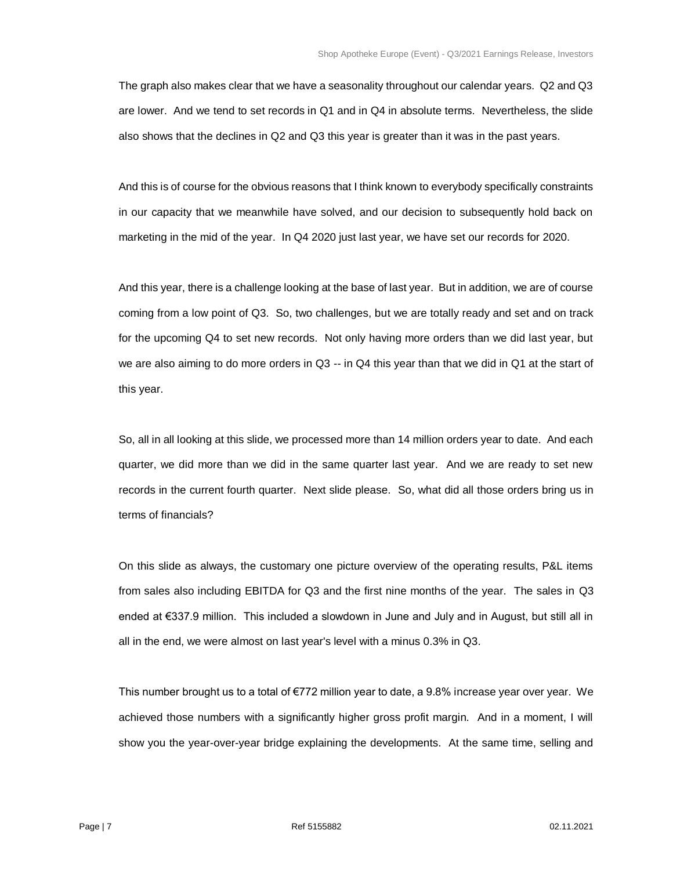The graph also makes clear that we have a seasonality throughout our calendar years. Q2 and Q3 are lower. And we tend to set records in Q1 and in Q4 in absolute terms. Nevertheless, the slide also shows that the declines in Q2 and Q3 this year is greater than it was in the past years.

And this is of course for the obvious reasons that I think known to everybody specifically constraints in our capacity that we meanwhile have solved, and our decision to subsequently hold back on marketing in the mid of the year. In Q4 2020 just last year, we have set our records for 2020.

And this year, there is a challenge looking at the base of last year. But in addition, we are of course coming from a low point of Q3. So, two challenges, but we are totally ready and set and on track for the upcoming Q4 to set new records. Not only having more orders than we did last year, but we are also aiming to do more orders in Q3 -- in Q4 this year than that we did in Q1 at the start of this year.

So, all in all looking at this slide, we processed more than 14 million orders year to date. And each quarter, we did more than we did in the same quarter last year. And we are ready to set new records in the current fourth quarter. Next slide please. So, what did all those orders bring us in terms of financials?

On this slide as always, the customary one picture overview of the operating results, P&L items from sales also including EBITDA for Q3 and the first nine months of the year. The sales in Q3 ended at €337.9 million. This included a slowdown in June and July and in August, but still all in all in the end, we were almost on last year's level with a minus 0.3% in Q3.

This number brought us to a total of €772 million year to date, a 9.8% increase year over year. We achieved those numbers with a significantly higher gross profit margin. And in a moment, I will show you the year-over-year bridge explaining the developments. At the same time, selling and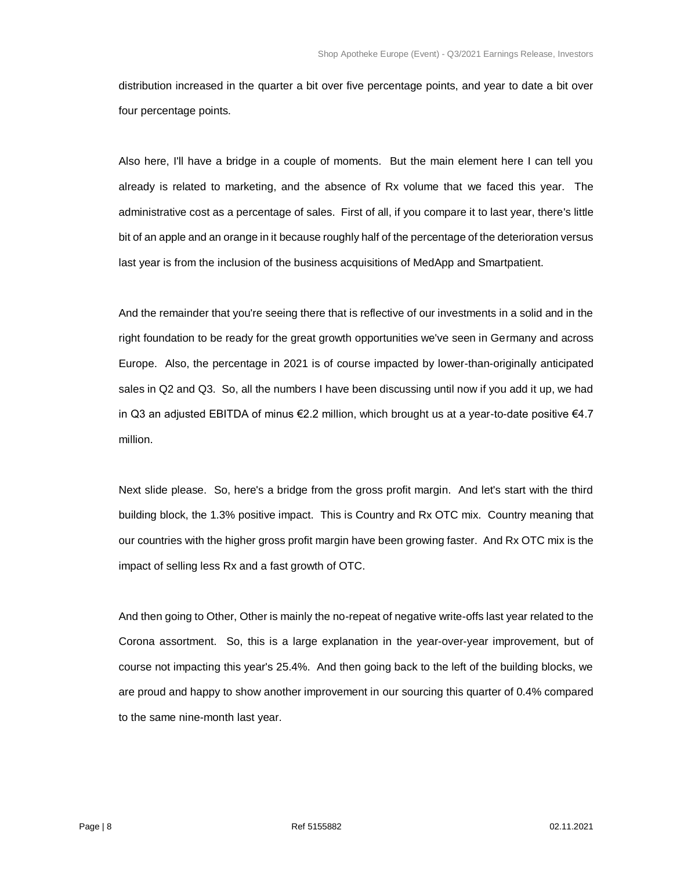distribution increased in the quarter a bit over five percentage points, and year to date a bit over four percentage points.

Also here, I'll have a bridge in a couple of moments. But the main element here I can tell you already is related to marketing, and the absence of Rx volume that we faced this year. The administrative cost as a percentage of sales. First of all, if you compare it to last year, there's little bit of an apple and an orange in it because roughly half of the percentage of the deterioration versus last year is from the inclusion of the business acquisitions of MedApp and Smartpatient.

And the remainder that you're seeing there that is reflective of our investments in a solid and in the right foundation to be ready for the great growth opportunities we've seen in Germany and across Europe. Also, the percentage in 2021 is of course impacted by lower-than-originally anticipated sales in Q2 and Q3. So, all the numbers I have been discussing until now if you add it up, we had in Q3 an adjusted EBITDA of minus €2.2 million, which brought us at a year-to-date positive €4.7 million.

Next slide please. So, here's a bridge from the gross profit margin. And let's start with the third building block, the 1.3% positive impact. This is Country and Rx OTC mix. Country meaning that our countries with the higher gross profit margin have been growing faster. And Rx OTC mix is the impact of selling less Rx and a fast growth of OTC.

And then going to Other, Other is mainly the no-repeat of negative write-offs last year related to the Corona assortment. So, this is a large explanation in the year-over-year improvement, but of course not impacting this year's 25.4%. And then going back to the left of the building blocks, we are proud and happy to show another improvement in our sourcing this quarter of 0.4% compared to the same nine-month last year.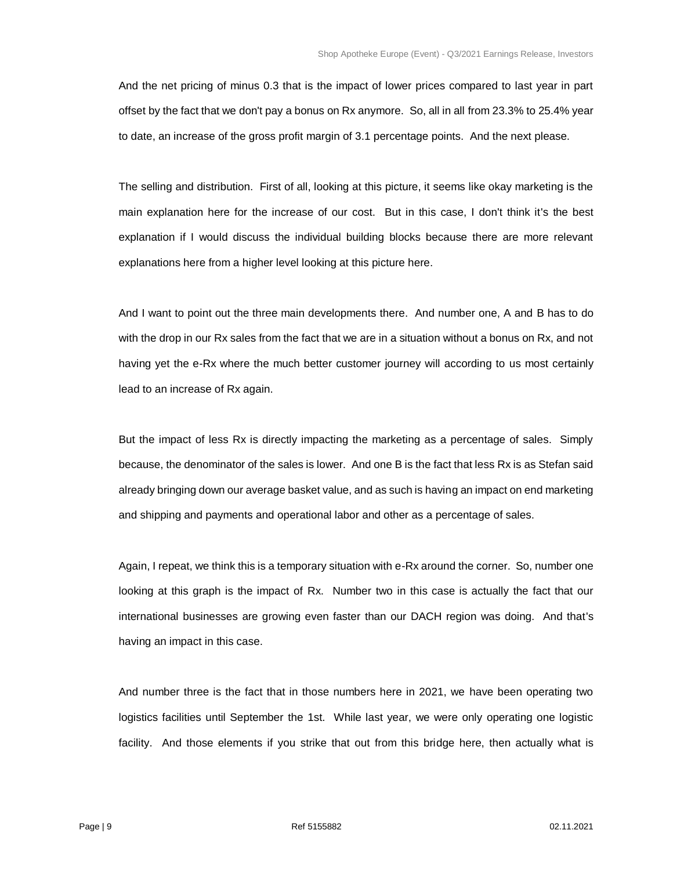And the net pricing of minus 0.3 that is the impact of lower prices compared to last year in part offset by the fact that we don't pay a bonus on Rx anymore. So, all in all from 23.3% to 25.4% year to date, an increase of the gross profit margin of 3.1 percentage points. And the next please.

The selling and distribution. First of all, looking at this picture, it seems like okay marketing is the main explanation here for the increase of our cost. But in this case, I don't think it's the best explanation if I would discuss the individual building blocks because there are more relevant explanations here from a higher level looking at this picture here.

And I want to point out the three main developments there. And number one, A and B has to do with the drop in our Rx sales from the fact that we are in a situation without a bonus on Rx, and not having yet the e-Rx where the much better customer journey will according to us most certainly lead to an increase of Rx again.

But the impact of less Rx is directly impacting the marketing as a percentage of sales. Simply because, the denominator of the sales is lower. And one B is the fact that less Rx is as Stefan said already bringing down our average basket value, and as such is having an impact on end marketing and shipping and payments and operational labor and other as a percentage of sales.

Again, I repeat, we think this is a temporary situation with e-Rx around the corner. So, number one looking at this graph is the impact of Rx. Number two in this case is actually the fact that our international businesses are growing even faster than our DACH region was doing. And that's having an impact in this case.

And number three is the fact that in those numbers here in 2021, we have been operating two logistics facilities until September the 1st. While last year, we were only operating one logistic facility. And those elements if you strike that out from this bridge here, then actually what is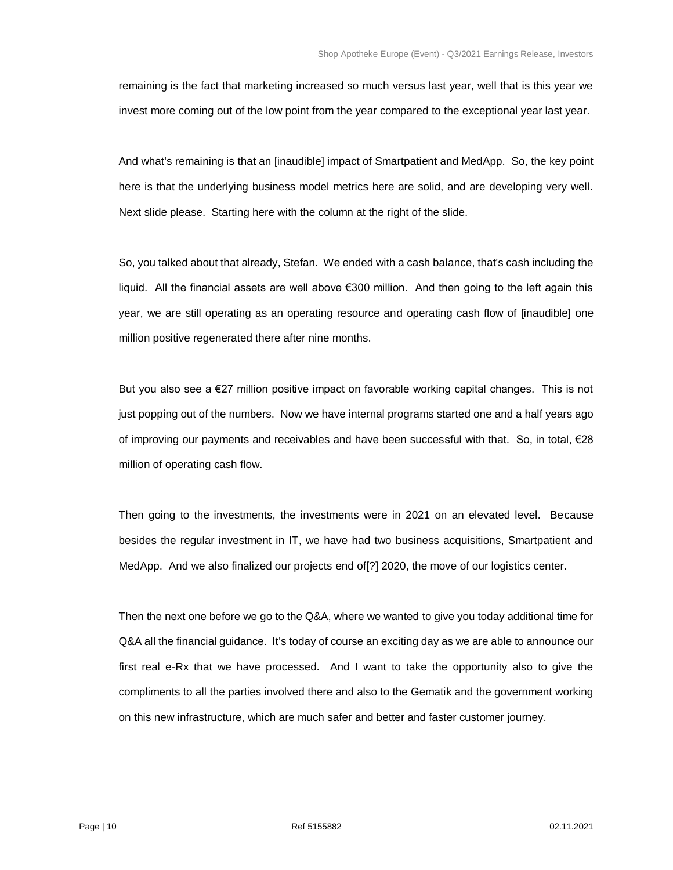remaining is the fact that marketing increased so much versus last year, well that is this year we invest more coming out of the low point from the year compared to the exceptional year last year.

And what's remaining is that an [inaudible] impact of Smartpatient and MedApp. So, the key point here is that the underlying business model metrics here are solid, and are developing very well. Next slide please. Starting here with the column at the right of the slide.

So, you talked about that already, Stefan. We ended with a cash balance, that's cash including the liquid. All the financial assets are well above €300 million. And then going to the left again this year, we are still operating as an operating resource and operating cash flow of [inaudible] one million positive regenerated there after nine months.

But you also see a €27 million positive impact on favorable working capital changes. This is not just popping out of the numbers. Now we have internal programs started one and a half years ago of improving our payments and receivables and have been successful with that. So, in total, €28 million of operating cash flow.

Then going to the investments, the investments were in 2021 on an elevated level. Because besides the regular investment in IT, we have had two business acquisitions, Smartpatient and MedApp. And we also finalized our projects end of[?] 2020, the move of our logistics center.

Then the next one before we go to the Q&A, where we wanted to give you today additional time for Q&A all the financial guidance. It's today of course an exciting day as we are able to announce our first real e-Rx that we have processed. And I want to take the opportunity also to give the compliments to all the parties involved there and also to the Gematik and the government working on this new infrastructure, which are much safer and better and faster customer journey.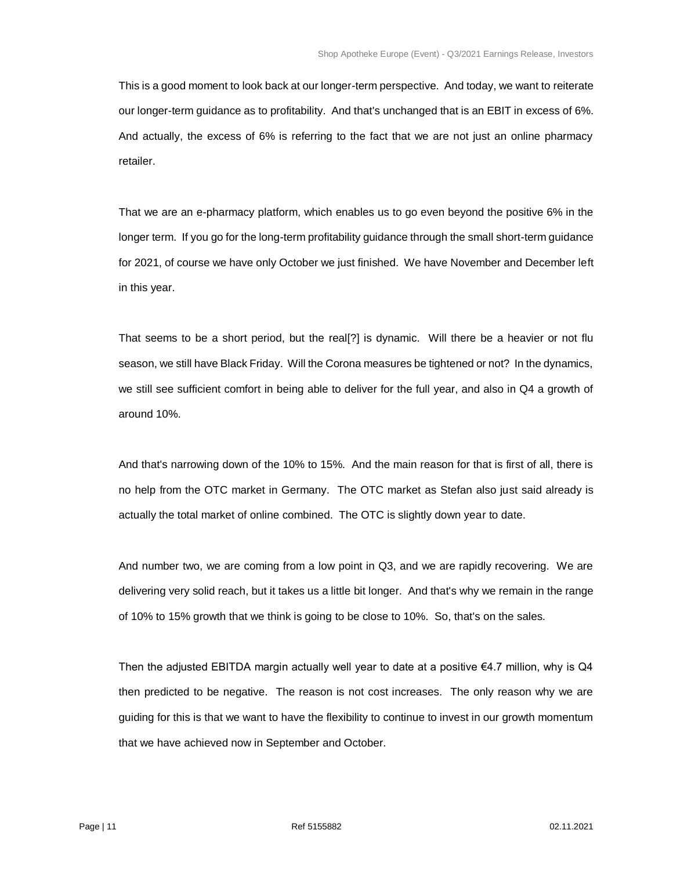This is a good moment to look back at our longer-term perspective. And today, we want to reiterate our longer-term guidance as to profitability. And that's unchanged that is an EBIT in excess of 6%. And actually, the excess of 6% is referring to the fact that we are not just an online pharmacy retailer.

That we are an e-pharmacy platform, which enables us to go even beyond the positive 6% in the longer term. If you go for the long-term profitability guidance through the small short-term guidance for 2021, of course we have only October we just finished. We have November and December left in this year.

That seems to be a short period, but the real[?] is dynamic. Will there be a heavier or not flu season, we still have Black Friday. Will the Corona measures be tightened or not? In the dynamics, we still see sufficient comfort in being able to deliver for the full year, and also in Q4 a growth of around 10%.

And that's narrowing down of the 10% to 15%. And the main reason for that is first of all, there is no help from the OTC market in Germany. The OTC market as Stefan also just said already is actually the total market of online combined. The OTC is slightly down year to date.

And number two, we are coming from a low point in Q3, and we are rapidly recovering. We are delivering very solid reach, but it takes us a little bit longer. And that's why we remain in the range of 10% to 15% growth that we think is going to be close to 10%. So, that's on the sales.

Then the adjusted EBITDA margin actually well year to date at a positive  $\epsilon$ 4.7 million, why is Q4 then predicted to be negative. The reason is not cost increases. The only reason why we are guiding for this is that we want to have the flexibility to continue to invest in our growth momentum that we have achieved now in September and October.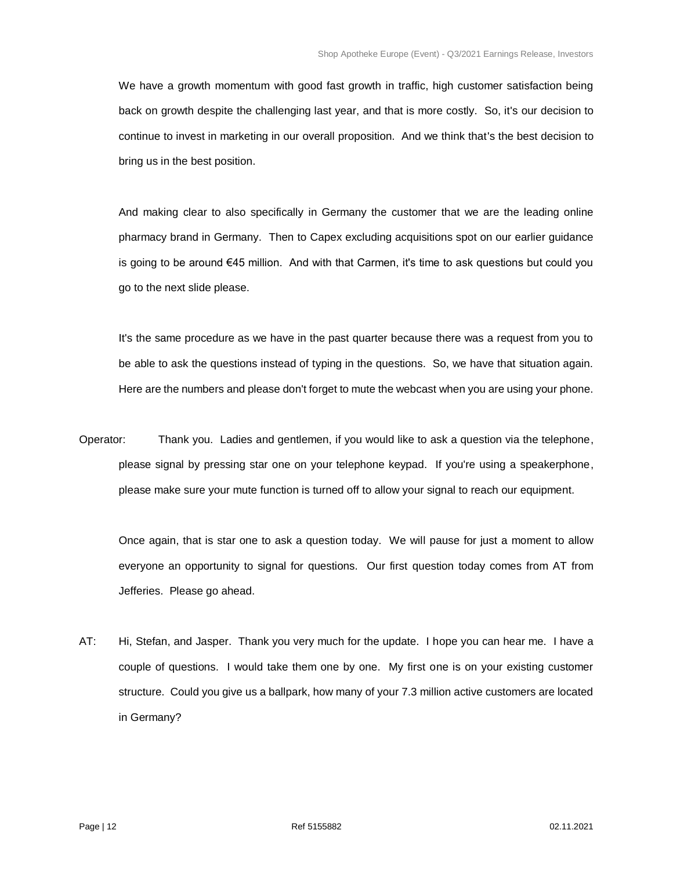We have a growth momentum with good fast growth in traffic, high customer satisfaction being back on growth despite the challenging last year, and that is more costly. So, it's our decision to continue to invest in marketing in our overall proposition. And we think that's the best decision to bring us in the best position.

And making clear to also specifically in Germany the customer that we are the leading online pharmacy brand in Germany. Then to Capex excluding acquisitions spot on our earlier guidance is going to be around €45 million. And with that Carmen, it's time to ask questions but could you go to the next slide please.

It's the same procedure as we have in the past quarter because there was a request from you to be able to ask the questions instead of typing in the questions. So, we have that situation again. Here are the numbers and please don't forget to mute the webcast when you are using your phone.

Operator: Thank you. Ladies and gentlemen, if you would like to ask a question via the telephone, please signal by pressing star one on your telephone keypad. If you're using a speakerphone, please make sure your mute function is turned off to allow your signal to reach our equipment.

Once again, that is star one to ask a question today. We will pause for just a moment to allow everyone an opportunity to signal for questions. Our first question today comes from AT from Jefferies. Please go ahead.

AT: Hi, Stefan, and Jasper. Thank you very much for the update. I hope you can hear me. I have a couple of questions. I would take them one by one. My first one is on your existing customer structure. Could you give us a ballpark, how many of your 7.3 million active customers are located in Germany?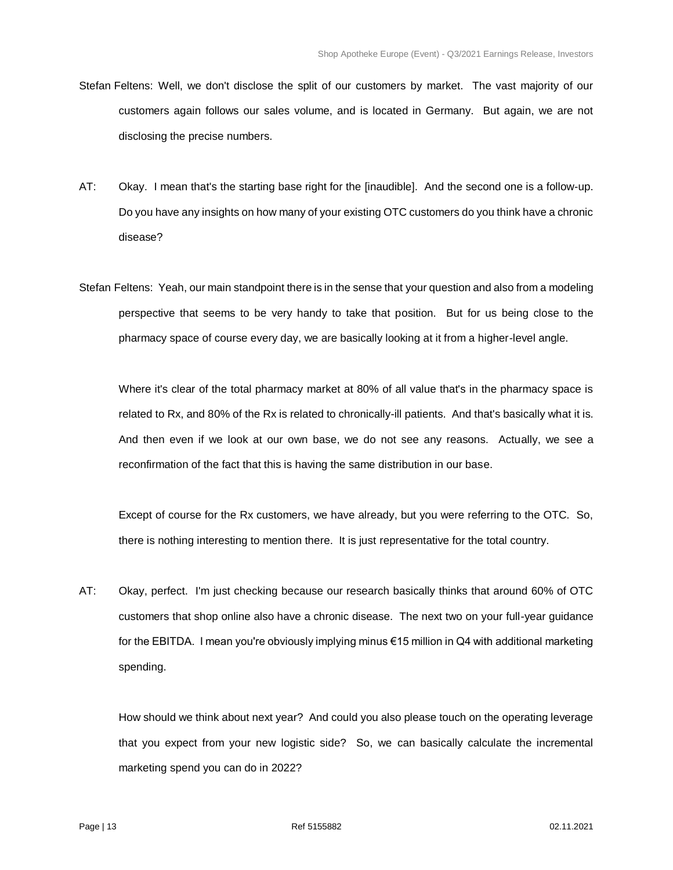- Stefan Feltens: Well, we don't disclose the split of our customers by market. The vast majority of our customers again follows our sales volume, and is located in Germany. But again, we are not disclosing the precise numbers.
- AT: Okay. I mean that's the starting base right for the [inaudible]. And the second one is a follow-up. Do you have any insights on how many of your existing OTC customers do you think have a chronic disease?
- Stefan Feltens: Yeah, our main standpoint there is in the sense that your question and also from a modeling perspective that seems to be very handy to take that position. But for us being close to the pharmacy space of course every day, we are basically looking at it from a higher-level angle.

Where it's clear of the total pharmacy market at 80% of all value that's in the pharmacy space is related to Rx, and 80% of the Rx is related to chronically-ill patients. And that's basically what it is. And then even if we look at our own base, we do not see any reasons. Actually, we see a reconfirmation of the fact that this is having the same distribution in our base.

Except of course for the Rx customers, we have already, but you were referring to the OTC. So, there is nothing interesting to mention there. It is just representative for the total country.

AT: Okay, perfect. I'm just checking because our research basically thinks that around 60% of OTC customers that shop online also have a chronic disease. The next two on your full-year guidance for the EBITDA. I mean you're obviously implying minus €15 million in Q4 with additional marketing spending.

How should we think about next year? And could you also please touch on the operating leverage that you expect from your new logistic side? So, we can basically calculate the incremental marketing spend you can do in 2022?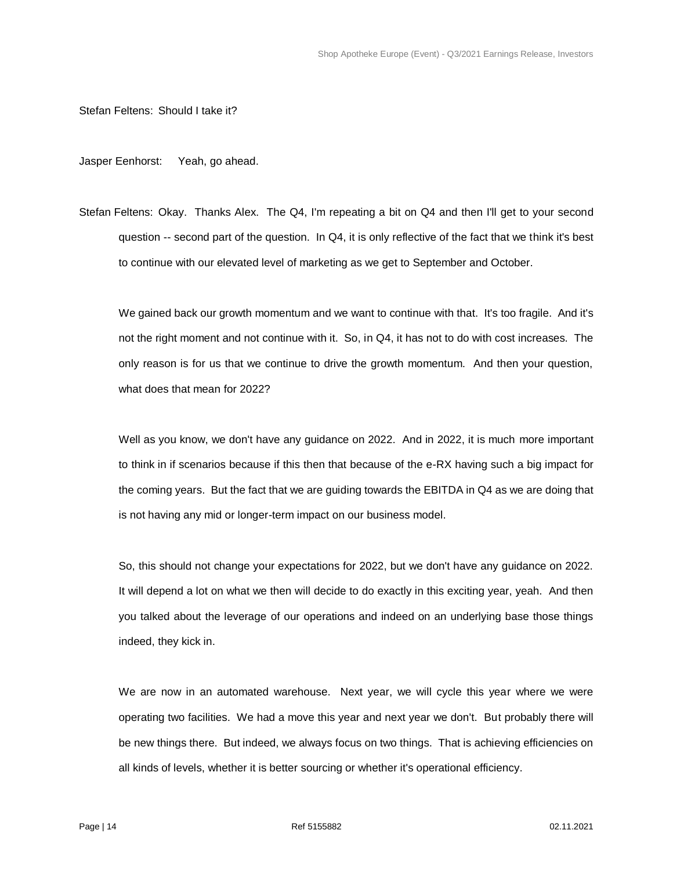Stefan Feltens: Should I take it?

Jasper Eenhorst: Yeah, go ahead.

Stefan Feltens: Okay. Thanks Alex. The Q4, I'm repeating a bit on Q4 and then I'll get to your second question -- second part of the question. In Q4, it is only reflective of the fact that we think it's best to continue with our elevated level of marketing as we get to September and October.

We gained back our growth momentum and we want to continue with that. It's too fragile. And it's not the right moment and not continue with it. So, in Q4, it has not to do with cost increases. The only reason is for us that we continue to drive the growth momentum. And then your question, what does that mean for 2022?

Well as you know, we don't have any guidance on 2022. And in 2022, it is much more important to think in if scenarios because if this then that because of the e-RX having such a big impact for the coming years. But the fact that we are guiding towards the EBITDA in Q4 as we are doing that is not having any mid or longer-term impact on our business model.

So, this should not change your expectations for 2022, but we don't have any guidance on 2022. It will depend a lot on what we then will decide to do exactly in this exciting year, yeah. And then you talked about the leverage of our operations and indeed on an underlying base those things indeed, they kick in.

We are now in an automated warehouse. Next year, we will cycle this year where we were operating two facilities. We had a move this year and next year we don't. But probably there will be new things there. But indeed, we always focus on two things. That is achieving efficiencies on all kinds of levels, whether it is better sourcing or whether it's operational efficiency.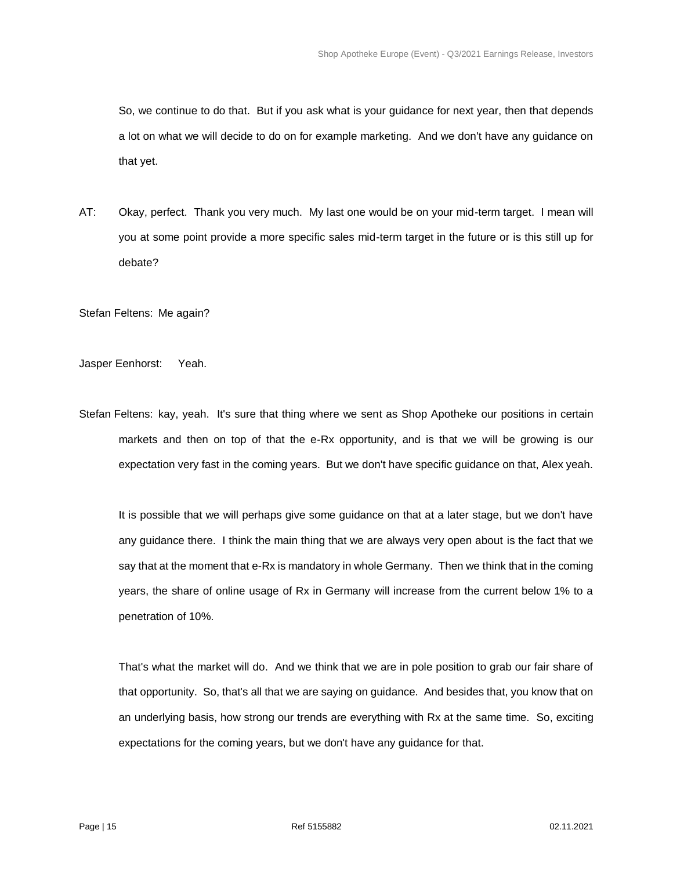So, we continue to do that. But if you ask what is your guidance for next year, then that depends a lot on what we will decide to do on for example marketing. And we don't have any guidance on that yet.

AT: Okay, perfect. Thank you very much. My last one would be on your mid-term target. I mean will you at some point provide a more specific sales mid-term target in the future or is this still up for debate?

Stefan Feltens: Me again?

Jasper Eenhorst: Yeah.

Stefan Feltens: kay, yeah. It's sure that thing where we sent as Shop Apotheke our positions in certain markets and then on top of that the e-Rx opportunity, and is that we will be growing is our expectation very fast in the coming years. But we don't have specific guidance on that, Alex yeah.

It is possible that we will perhaps give some guidance on that at a later stage, but we don't have any guidance there. I think the main thing that we are always very open about is the fact that we say that at the moment that e-Rx is mandatory in whole Germany. Then we think that in the coming years, the share of online usage of Rx in Germany will increase from the current below 1% to a penetration of 10%.

That's what the market will do. And we think that we are in pole position to grab our fair share of that opportunity. So, that's all that we are saying on guidance. And besides that, you know that on an underlying basis, how strong our trends are everything with Rx at the same time. So, exciting expectations for the coming years, but we don't have any guidance for that.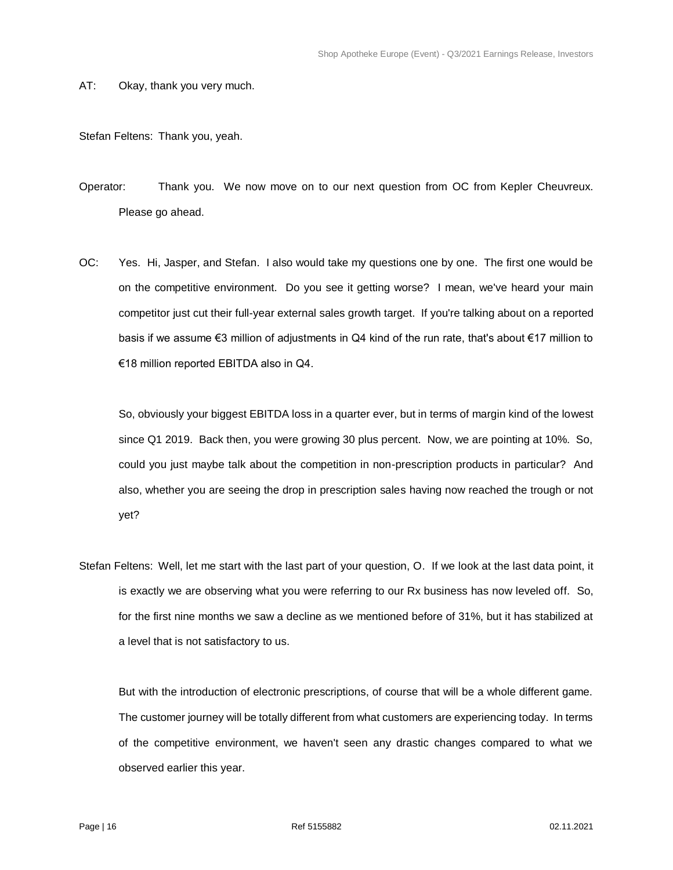AT: Okay, thank you very much.

Stefan Feltens: Thank you, yeah.

Operator: Thank you. We now move on to our next question from OC from Kepler Cheuvreux. Please go ahead.

OC: Yes. Hi, Jasper, and Stefan. I also would take my questions one by one. The first one would be on the competitive environment. Do you see it getting worse? I mean, we've heard your main competitor just cut their full-year external sales growth target. If you're talking about on a reported basis if we assume €3 million of adjustments in Q4 kind of the run rate, that's about €17 million to €18 million reported EBITDA also in Q4.

So, obviously your biggest EBITDA loss in a quarter ever, but in terms of margin kind of the lowest since Q1 2019. Back then, you were growing 30 plus percent. Now, we are pointing at 10%. So, could you just maybe talk about the competition in non-prescription products in particular? And also, whether you are seeing the drop in prescription sales having now reached the trough or not yet?

Stefan Feltens: Well, let me start with the last part of your question, O. If we look at the last data point, it is exactly we are observing what you were referring to our Rx business has now leveled off. So, for the first nine months we saw a decline as we mentioned before of 31%, but it has stabilized at a level that is not satisfactory to us.

But with the introduction of electronic prescriptions, of course that will be a whole different game. The customer journey will be totally different from what customers are experiencing today. In terms of the competitive environment, we haven't seen any drastic changes compared to what we observed earlier this year.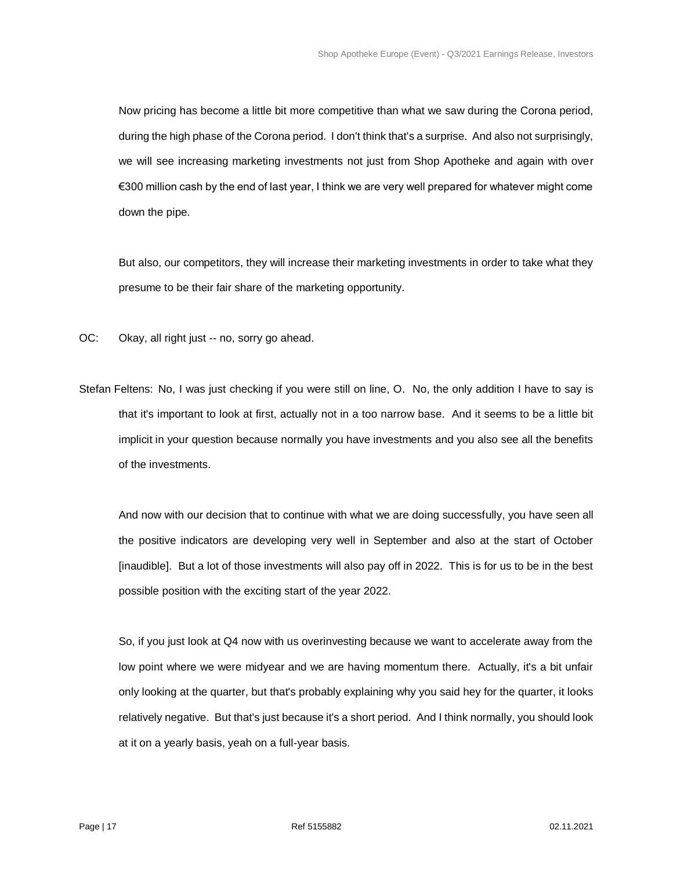Now pricing has become a little bit more competitive than what we saw during the Corona period, during the high phase of the Corona period. I don't think that's a surprise. And also not surprisingly, we will see increasing marketing investments not just from Shop Apotheke and again with over €300 million cash by the end of last year, I think we are very well prepared for whatever might come down the pipe.

But also, our competitors, they will increase their marketing investments in order to take what they presume to be their fair share of the marketing opportunity.

- OC: Okay, all right just -- no, sorry go ahead.
- Stefan Feltens: No, I was just checking if you were still on line, O. No, the only addition I have to say is that it's important to look at first, actually not in a too narrow base. And it seems to be a little bit implicit in your question because normally you have investments and you also see all the benefits of the investments.

And now with our decision that to continue with what we are doing successfully, you have seen all the positive indicators are developing very well in September and also at the start of October [inaudible]. But a lot of those investments will also pay off in 2022. This is for us to be in the best possible position with the exciting start of the year 2022.

So, if you just look at Q4 now with us overinvesting because we want to accelerate away from the low point where we were midyear and we are having momentum there. Actually, it's a bit unfair only looking at the quarter, but that's probably explaining why you said hey for the quarter, it looks relatively negative. But that's just because it's a short period. And I think normally, you should look at it on a yearly basis, yeah on a full-year basis.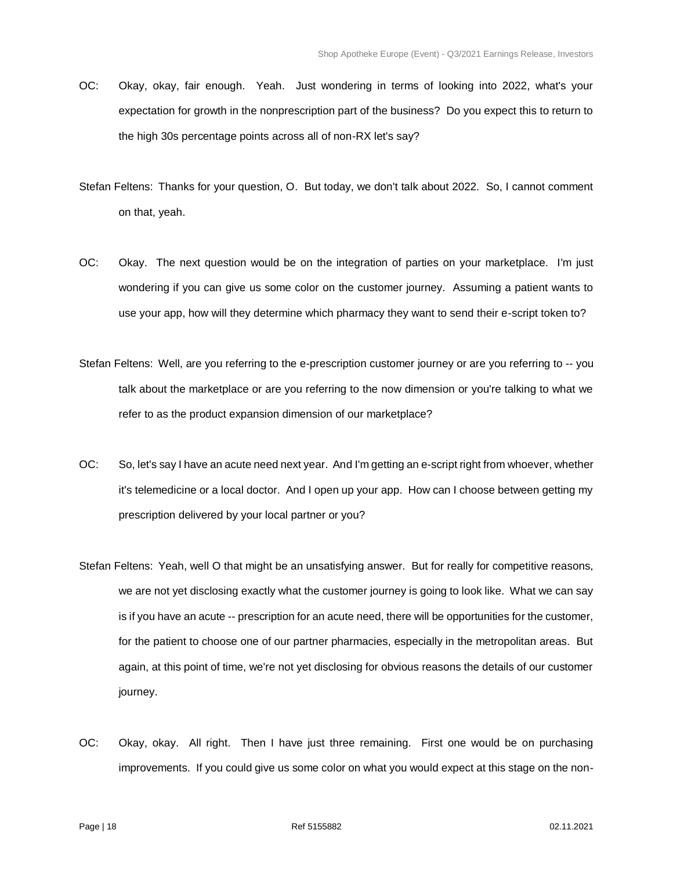- OC: Okay, okay, fair enough. Yeah. Just wondering in terms of looking into 2022, what's your expectation for growth in the nonprescription part of the business? Do you expect this to return to the high 30s percentage points across all of non-RX let's say?
- Stefan Feltens: Thanks for your question, O. But today, we don't talk about 2022. So, I cannot comment on that, yeah.
- OC: Okay. The next question would be on the integration of parties on your marketplace. I'm just wondering if you can give us some color on the customer journey. Assuming a patient wants to use your app, how will they determine which pharmacy they want to send their e-script token to?
- Stefan Feltens: Well, are you referring to the e-prescription customer journey or are you referring to -- you talk about the marketplace or are you referring to the now dimension or you're talking to what we refer to as the product expansion dimension of our marketplace?
- OC: So, let's say I have an acute need next year. And I'm getting an e-script right from whoever, whether it's telemedicine or a local doctor. And I open up your app. How can I choose between getting my prescription delivered by your local partner or you?
- Stefan Feltens: Yeah, well O that might be an unsatisfying answer. But for really for competitive reasons, we are not yet disclosing exactly what the customer journey is going to look like. What we can say is if you have an acute -- prescription for an acute need, there will be opportunities for the customer, for the patient to choose one of our partner pharmacies, especially in the metropolitan areas. But again, at this point of time, we're not yet disclosing for obvious reasons the details of our customer journey.
- OC: Okay, okay. All right. Then I have just three remaining. First one would be on purchasing improvements. If you could give us some color on what you would expect at this stage on the non-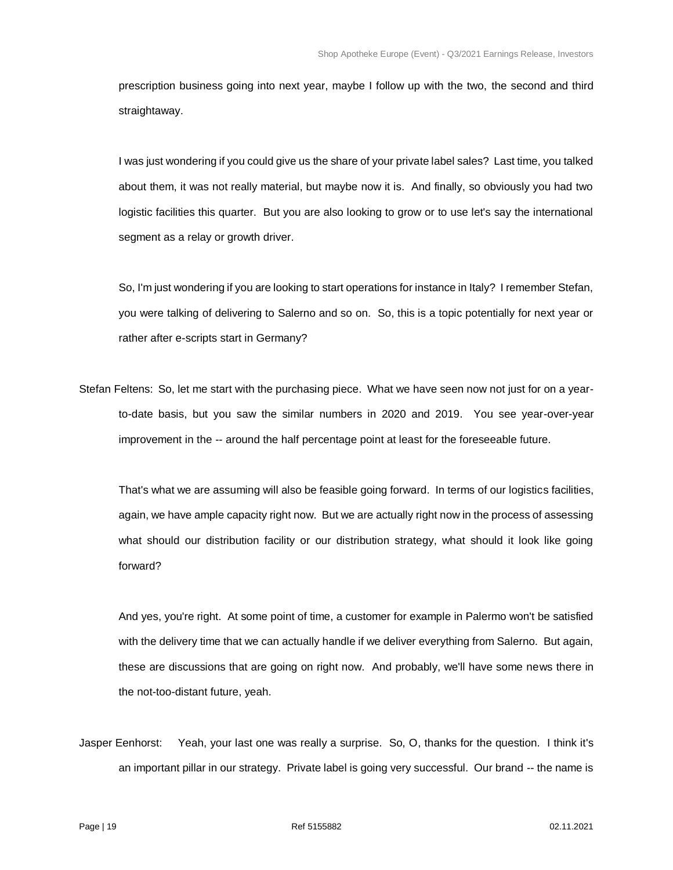prescription business going into next year, maybe I follow up with the two, the second and third straightaway.

I was just wondering if you could give us the share of your private label sales? Last time, you talked about them, it was not really material, but maybe now it is. And finally, so obviously you had two logistic facilities this quarter. But you are also looking to grow or to use let's say the international segment as a relay or growth driver.

So, I'm just wondering if you are looking to start operations for instance in Italy? I remember Stefan, you were talking of delivering to Salerno and so on. So, this is a topic potentially for next year or rather after e-scripts start in Germany?

Stefan Feltens: So, let me start with the purchasing piece. What we have seen now not just for on a yearto-date basis, but you saw the similar numbers in 2020 and 2019. You see year-over-year improvement in the -- around the half percentage point at least for the foreseeable future.

That's what we are assuming will also be feasible going forward. In terms of our logistics facilities, again, we have ample capacity right now. But we are actually right now in the process of assessing what should our distribution facility or our distribution strategy, what should it look like going forward?

And yes, you're right. At some point of time, a customer for example in Palermo won't be satisfied with the delivery time that we can actually handle if we deliver everything from Salerno. But again, these are discussions that are going on right now. And probably, we'll have some news there in the not-too-distant future, yeah.

Jasper Eenhorst: Yeah, your last one was really a surprise. So, O, thanks for the question. I think it's an important pillar in our strategy. Private label is going very successful. Our brand -- the name is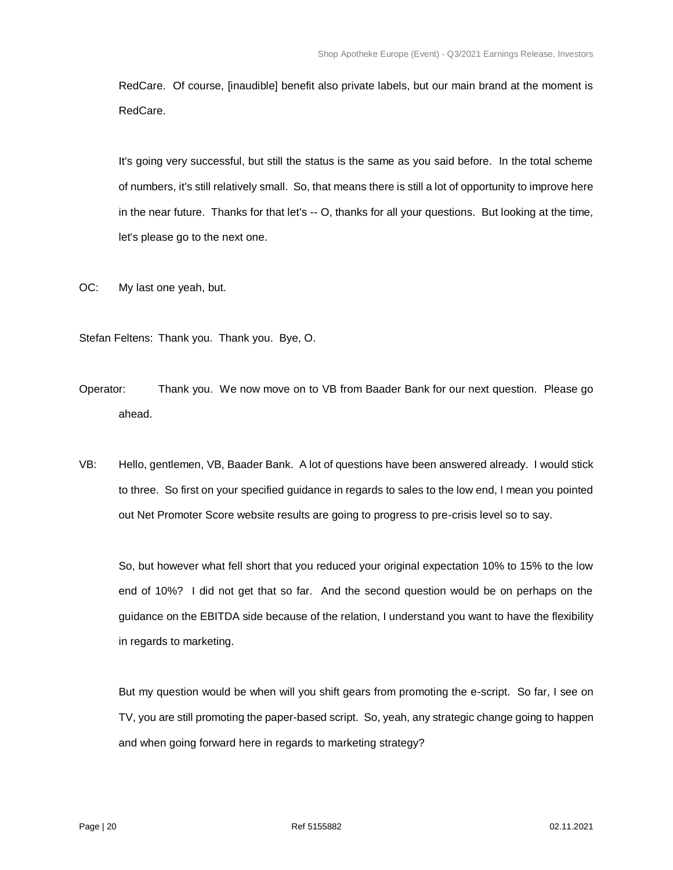RedCare. Of course, [inaudible] benefit also private labels, but our main brand at the moment is RedCare.

It's going very successful, but still the status is the same as you said before. In the total scheme of numbers, it's still relatively small. So, that means there is still a lot of opportunity to improve here in the near future. Thanks for that let's -- O, thanks for all your questions. But looking at the time, let's please go to the next one.

- OC: My last one yeah, but.
- Stefan Feltens: Thank you. Thank you. Bye, O.
- Operator: Thank you. We now move on to VB from Baader Bank for our next question. Please go ahead.
- VB: Hello, gentlemen, VB, Baader Bank. A lot of questions have been answered already. I would stick to three. So first on your specified guidance in regards to sales to the low end, I mean you pointed out Net Promoter Score website results are going to progress to pre-crisis level so to say.

So, but however what fell short that you reduced your original expectation 10% to 15% to the low end of 10%? I did not get that so far. And the second question would be on perhaps on the guidance on the EBITDA side because of the relation, I understand you want to have the flexibility in regards to marketing.

But my question would be when will you shift gears from promoting the e-script. So far, I see on TV, you are still promoting the paper-based script. So, yeah, any strategic change going to happen and when going forward here in regards to marketing strategy?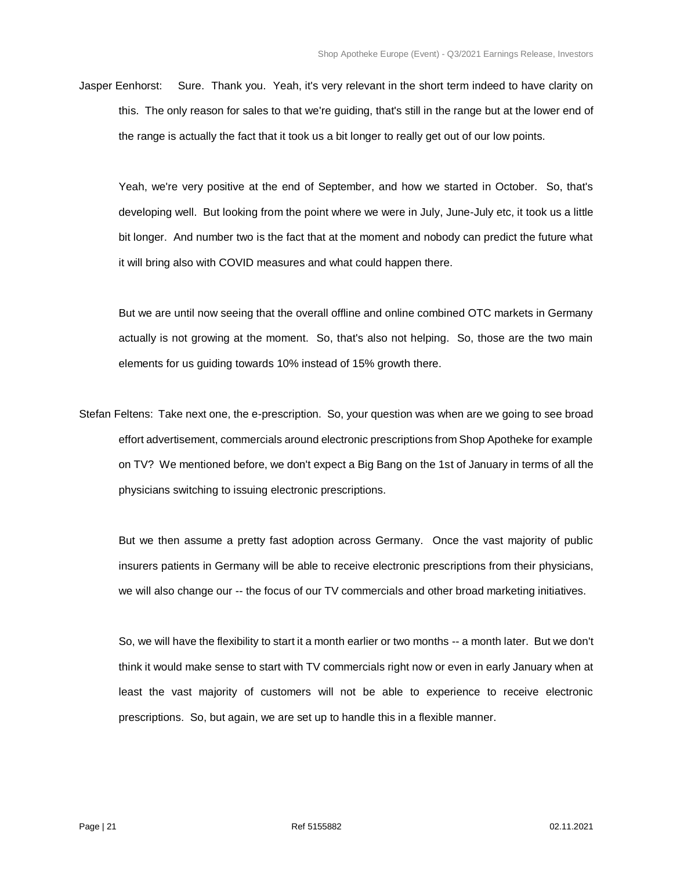Jasper Eenhorst: Sure. Thank you. Yeah, it's very relevant in the short term indeed to have clarity on this. The only reason for sales to that we're guiding, that's still in the range but at the lower end of the range is actually the fact that it took us a bit longer to really get out of our low points.

Yeah, we're very positive at the end of September, and how we started in October. So, that's developing well. But looking from the point where we were in July, June-July etc, it took us a little bit longer. And number two is the fact that at the moment and nobody can predict the future what it will bring also with COVID measures and what could happen there.

But we are until now seeing that the overall offline and online combined OTC markets in Germany actually is not growing at the moment. So, that's also not helping. So, those are the two main elements for us guiding towards 10% instead of 15% growth there.

Stefan Feltens: Take next one, the e-prescription. So, your question was when are we going to see broad effort advertisement, commercials around electronic prescriptions from Shop Apotheke for example on TV? We mentioned before, we don't expect a Big Bang on the 1st of January in terms of all the physicians switching to issuing electronic prescriptions.

But we then assume a pretty fast adoption across Germany. Once the vast majority of public insurers patients in Germany will be able to receive electronic prescriptions from their physicians, we will also change our -- the focus of our TV commercials and other broad marketing initiatives.

So, we will have the flexibility to start it a month earlier or two months -- a month later. But we don't think it would make sense to start with TV commercials right now or even in early January when at least the vast majority of customers will not be able to experience to receive electronic prescriptions. So, but again, we are set up to handle this in a flexible manner.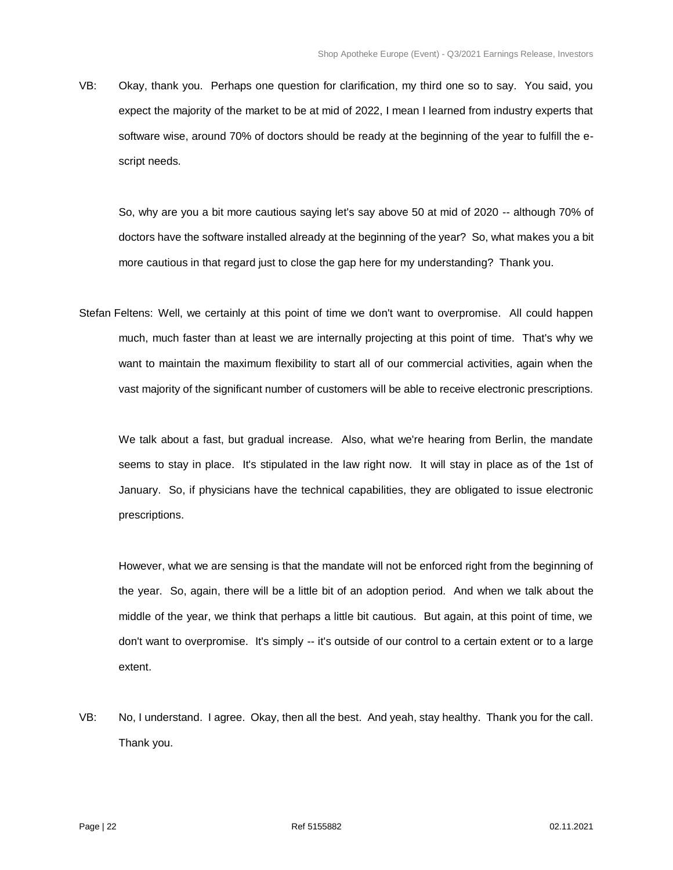VB: Okay, thank you. Perhaps one question for clarification, my third one so to say. You said, you expect the majority of the market to be at mid of 2022, I mean I learned from industry experts that software wise, around 70% of doctors should be ready at the beginning of the year to fulfill the escript needs.

So, why are you a bit more cautious saying let's say above 50 at mid of 2020 -- although 70% of doctors have the software installed already at the beginning of the year? So, what makes you a bit more cautious in that regard just to close the gap here for my understanding? Thank you.

Stefan Feltens: Well, we certainly at this point of time we don't want to overpromise. All could happen much, much faster than at least we are internally projecting at this point of time. That's why we want to maintain the maximum flexibility to start all of our commercial activities, again when the vast majority of the significant number of customers will be able to receive electronic prescriptions.

We talk about a fast, but gradual increase. Also, what we're hearing from Berlin, the mandate seems to stay in place. It's stipulated in the law right now. It will stay in place as of the 1st of January. So, if physicians have the technical capabilities, they are obligated to issue electronic prescriptions.

However, what we are sensing is that the mandate will not be enforced right from the beginning of the year. So, again, there will be a little bit of an adoption period. And when we talk about the middle of the year, we think that perhaps a little bit cautious. But again, at this point of time, we don't want to overpromise. It's simply -- it's outside of our control to a certain extent or to a large extent.

VB: No, I understand. I agree. Okay, then all the best. And yeah, stay healthy. Thank you for the call. Thank you.